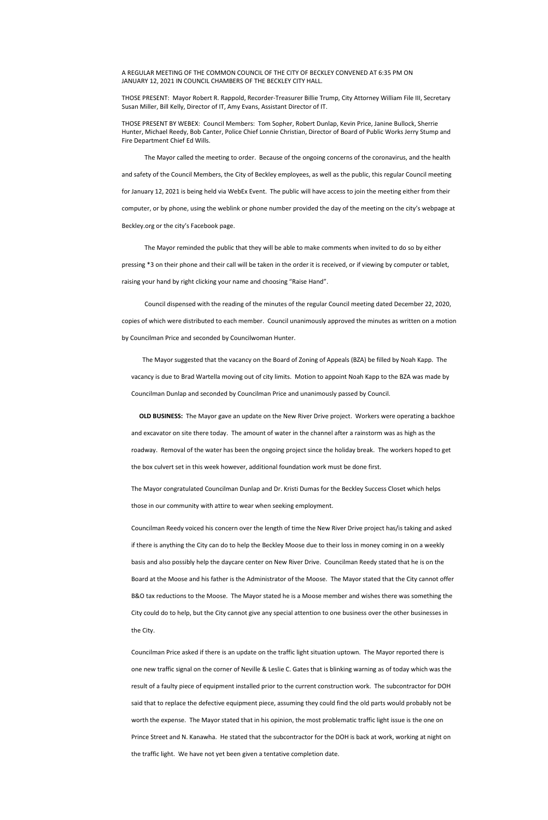## A REGULAR MEETING OF THE COMMON COUNCIL OF THE CITY OF BECKLEY CONVENED AT 6:35 PM ON JANUARY 12, 2021 IN COUNCIL CHAMBERS OF THE BECKLEY CITY HALL.

THOSE PRESENT: Mayor Robert R. Rappold, Recorder-Treasurer Billie Trump, City Attorney William File III, Secretary Susan Miller, Bill Kelly, Director of IT, Amy Evans, Assistant Director of IT.

THOSE PRESENT BY WEBEX: Council Members: Tom Sopher, Robert Dunlap, Kevin Price, Janine Bullock, Sherrie Hunter, Michael Reedy, Bob Canter, Police Chief Lonnie Christian, Director of Board of Public Works Jerry Stump and Fire Department Chief Ed Wills.

The Mayor called the meeting to order. Because of the ongoing concerns of the coronavirus, and the health and safety of the Council Members, the City of Beckley employees, as well as the public, this regular Council meeting for January 12, 2021 is being held via WebEx Event. The public will have access to join the meeting either from their computer, or by phone, using the weblink or phone number provided the day of the meeting on the city's webpage at Beckley.org or the city's Facebook page.

The Mayor reminded the public that they will be able to make comments when invited to do so by either pressing \*3 on their phone and their call will be taken in the order it is received, or if viewing by computer or tablet, raising your hand by right clicking your name and choosing "Raise Hand".

 Council dispensed with the reading of the minutes of the regular Council meeting dated December 22, 2020, copies of which were distributed to each member. Council unanimously approved the minutes as written on a motion by Councilman Price and seconded by Councilwoman Hunter.

 The Mayor suggested that the vacancy on the Board of Zoning of Appeals (BZA) be filled by Noah Kapp. The vacancy is due to Brad Wartella moving out of city limits. Motion to appoint Noah Kapp to the BZA was made by Councilman Dunlap and seconded by Councilman Price and unanimously passed by Council.

 **OLD BUSINESS:** The Mayor gave an update on the New River Drive project. Workers were operating a backhoe and excavator on site there today. The amount of water in the channel after a rainstorm was as high as the roadway. Removal of the water has been the ongoing project since the holiday break. The workers hoped to get the box culvert set in this week however, additional foundation work must be done first.

The Mayor congratulated Councilman Dunlap and Dr. Kristi Dumas for the Beckley Success Closet which helps those in our community with attire to wear when seeking employment.

Councilman Reedy voiced his concern over the length of time the New River Drive project has/is taking and asked if there is anything the City can do to help the Beckley Moose due to their loss in money coming in on a weekly basis and also possibly help the daycare center on New River Drive. Councilman Reedy stated that he is on the

Board at the Moose and his father is the Administrator of the Moose. The Mayor stated that the City cannot offer

B&O tax reductions to the Moose. The Mayor stated he is a Moose member and wishes there was something the City could do to help, but the City cannot give any special attention to one business over the other businesses in the City.

Councilman Price asked if there is an update on the traffic light situation uptown. The Mayor reported there is one new traffic signal on the corner of Neville & Leslie C. Gates that is blinking warning as of today which was the result of a faulty piece of equipment installed prior to the current construction work. The subcontractor for DOH said that to replace the defective equipment piece, assuming they could find the old parts would probably not be worth the expense. The Mayor stated that in his opinion, the most problematic traffic light issue is the one on Prince Street and N. Kanawha. He stated that the subcontractor for the DOH is back at work, working at night on the traffic light. We have not yet been given a tentative completion date.